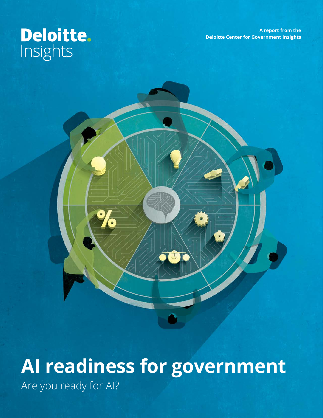**A report from the Deloitte Center for Government Insights**

# Deloitte.

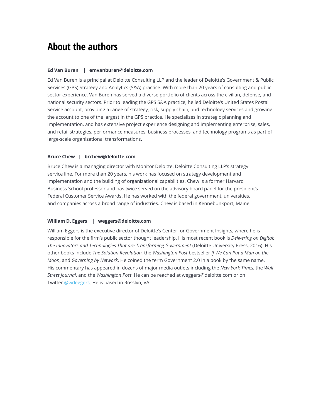### **About the authors**

#### **Ed Van Buren | emvanburen@deloitte.com**

Ed Van Buren is a principal at Deloitte Consulting LLP and the leader of Deloitte's Government & Public Services (GPS) Strategy and Analytics (S&A) practice. With more than 20 years of consulting and public sector experience, Van Buren has served a diverse portfolio of clients across the civilian, defense, and national security sectors. Prior to leading the GPS S&A practice, he led Deloitte's United States Postal Service account, providing a range of strategy, risk, supply chain, and technology services and growing the account to one of the largest in the GPS practice. He specializes in strategic planning and implementation, and has extensive project experience designing and implementing enterprise, sales, and retail strategies, performance measures, business processes, and technology programs as part of large-scale organizational transformations.

#### **Bruce Chew | brchew@deloitte.com**

Bruce Chew is a managing director with Monitor Deloitte, Deloitte Consulting LLP's strategy service line. For more than 20 years, his work has focused on strategy development and implementation and the building of organizational capabilities. Chew is a former Harvard Business School professor and has twice served on the advisory board panel for the president's Federal Customer Service Awards. He has worked with the federal government, universities, and companies across a broad range of industries. Chew is based in Kennebunkport, Maine

#### **William D. Eggers | weggers@deloitte.com**

William Eggers is the executive director of Deloitte's Center for Government Insights, where he is responsible for the firm's public sector thought leadership. His most recent book is *Delivering on Digital: The Innovators and Technologies That are Transforming Government* (Deloitte University Press, 2016). His other books include *The Solution Revolution*, the *Washington Post* bestseller *If We Can Put a Man on the Moon*, and *Governing by Network*. He coined the term Government 2.0 in a book by the same name. His commentary has appeared in dozens of major media outlets including the *New York Times*, the *Wall Street Journal*, and the *Washington Post*. He can be reached at weggers@deloitte.com or on Twitter [@wdeggers](https://twitter.com/wdeggers). He is based in Rosslyn, VA.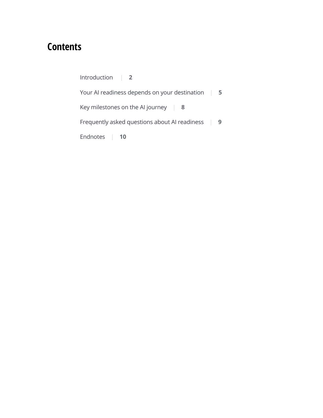# **Contents**

| Introduction                                  |   |
|-----------------------------------------------|---|
| Your AI readiness depends on your destination | 5 |
| Key milestones on the AI journey<br>-8        |   |
| Frequently asked questions about AI readiness | 9 |
| Endnotes<br>10                                |   |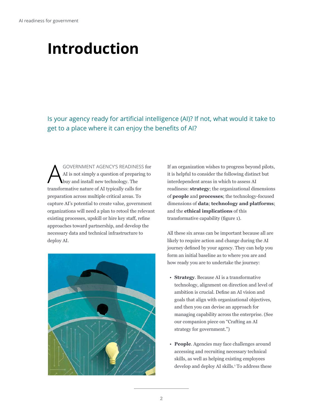# <span id="page-3-0"></span>**Introduction**

Is your agency ready for artificial intelligence (AI)? If not, what would it take to get to a place where it can enjoy the benefits of AI?

GOVERNMENT AGENCY'S READINESS for AI is not simply a question of preparing to buy and install new technology. The transformative nature of AI typically calls for preparation across multiple critical areas. To capture AI's potential to create value, government organizations will need a plan to retool the relevant existing processes, upskill or hire key staff, refine approaches toward partnership, and develop the necessary data and technical infrastructure to deploy AI.



If an organization wishes to progress beyond pilots, it is helpful to consider the following distinct but interdependent areas in which to assess AI readiness: **strategy**; the organizational dimensions of **people** and **processes**; the technology-focused dimensions of **data**; **technology and platforms**; and the **ethical implications** of this transformative capability (figure 1).

All these six areas can be important because all are likely to require action and change during the AI journey defined by your agency. They can help you form an initial baseline as to where you are and how ready you are to undertake the journey:

- **Strategy**. Because AI is a transformative technology, alignment on direction and level of ambition is crucial. Define an AI vision and goals that align with organizational objectives, and then you can devise an approach for managing capability across the enterprise. (See our companion piece on "Crafting an AI strategy for government.")
- **People**. Agencies may face challenges around accessing and recruiting necessary technical skills, as well as helping existing employees develop and deploy AI skills.<sup>1</sup> To address these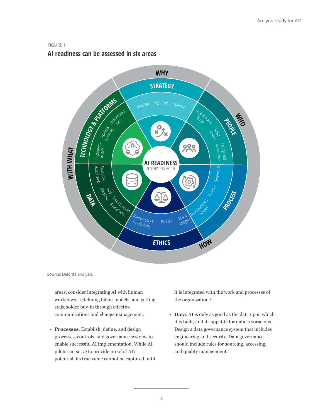#### FIGURE 1

#### **AI readiness can be assessed in six areas**



Source: Deloitte analysis.

areas, consider integrating AI with human workflows, redefining talent models, and getting stakeholder buy-in through effective communications and change management.

• **Processes**. Establish, define, and design processes, controls, and governance systems to enable successful AI implementation. While AI pilots can serve to provide proof of AI's potential, its true value cannot be captured until it is integrated with the work and processes of the organization.<sup>2</sup>

• **Data**. AI is only as good as the data upon which it is built, and its appetite for data is voracious. Design a data governance system that includes engineering and security. Data governance should include rules for sourcing, accessing, and quality management.3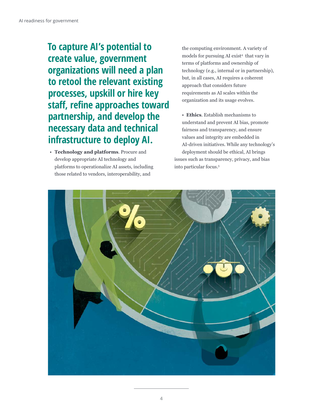### **To capture AI's potential to create value, government organizations will need a plan to retool the relevant existing processes, upskill or hire key staff, refine approaches toward partnership, and develop the necessary data and technical infrastructure to deploy AI.**

• **Technology and platforms**. Procure and develop appropriate AI technology and platforms to operationalize AI assets, including those related to vendors, interoperability, and

the computing environment. A variety of models for pursuing AI exist<sup>4</sup> that vary in terms of platforms and ownership of technology (e.g., internal or in partnership), but, in all cases, AI requires a coherent approach that considers future requirements as AI scales within the organization and its usage evolves.

• **Ethics**. Establish mechanisms to understand and prevent AI bias, promote fairness and transparency, and ensure values and integrity are embedded in AI-driven initiatives. While any technology's deployment should be ethical, AI brings issues such as transparency, privacy, and bias into particular focus.5

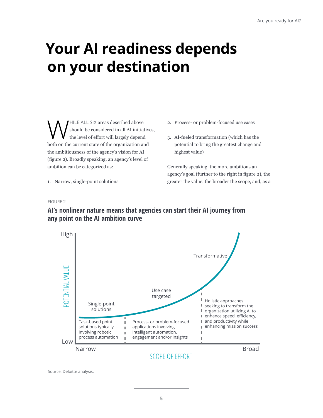# <span id="page-6-0"></span>**Your AI readiness depends on your destination**

WHILE ALL SIX areas described above<br>the level of effort will largely depend should be considered in all AI initiatives, the level of effort will largely depend both on the current state of the organization and the ambitiousness of the agency's vision for AI (figure 2). Broadly speaking, an agency's level of ambition can be categorized as:

- 2. Process- or problem-focused use cases
- 3. AI-fueled transformation (which has the potential to bring the greatest change and highest value)

Generally speaking, the more ambitious an agency's goal (further to the right in figure 2), the greater the value, the broader the scope, and, as a

1. Narrow, single-point solutions

#### FIGURE 2



#### **AI's nonlinear nature means that agencies can start their AI journey from any point on the AI ambition curve**

Source: Deloitte analysis.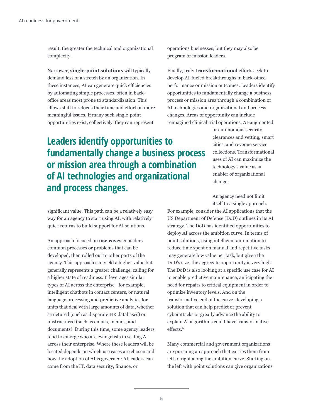result, the greater the technical and organizational complexity.

Narrower, **single-point solutions** will typically demand less of a stretch by an organization. In these instances, AI can generate quick efficiencies by automating simple processes, often in backoffice areas most prone to standardization. This allows staff to refocus their time and effort on more meaningful issues. If many such single-point opportunities exist, collectively, they can represent

**Leaders identify opportunities to fundamentally change a business process or mission area through a combination of AI technologies and organizational and process changes.**

significant value. This path can be a relatively easy way for an agency to start using AI, with relatively quick returns to build support for AI solutions.

An approach focused on **use cases** considers common processes or problems that can be developed, then rolled out to other parts of the agency. This approach can yield a higher value but generally represents a greater challenge, calling for a higher state of readiness. It leverages similar types of AI across the enterprise—for example, intelligent chatbots in contact centers, or natural language processing and predictive analytics for units that deal with large amounts of data, whether structured (such as disparate HR databases) or unstructured (such as emails, memos, and documents). During this time, some agency leaders tend to emerge who are evangelists in scaling AI across their enterprise. Where these leaders will be located depends on which use cases are chosen and how the adoption of AI is governed: AI leaders can come from the IT, data security, finance, or

operations businesses, but they may also be program or mission leaders.

Finally, truly **transformational** efforts seek to develop AI-fueled breakthroughs in back-office performance or mission outcomes. Leaders identify opportunities to fundamentally change a business process or mission area through a combination of AI technologies and organizational and process changes. Areas of opportunity can include reimagined clinical trial operations, AI-augmented

> or autonomous security clearances and vetting, smart cities, and revenue service collections. Transformational uses of AI can maximize the technology's value as an enabler of organizational change.

An agency need not limit itself to a single approach.

For example, consider the AI applications that the US Department of Defense (DoD) outlines in its AI strategy. The DoD has identified opportunities to deploy AI across the ambition curve. In terms of point solutions, using intelligent automation to reduce time spent on manual and repetitive tasks may generate low value per task, but given the DoD's size, the aggregate opportunity is very high. The DoD is also looking at a specific use case for AI to enable predictive maintenance, anticipating the need for repairs to critical equipment in order to optimize inventory levels. And on the transformative end of the curve, developing a solution that can help predict or prevent cyberattacks or greatly advance the ability to explain AI algorithms could have transformative effects.<sup>6</sup>

Many commercial and government organizations are pursuing an approach that carries them from left to right along the ambition curve. Starting on the left with point solutions can give organizations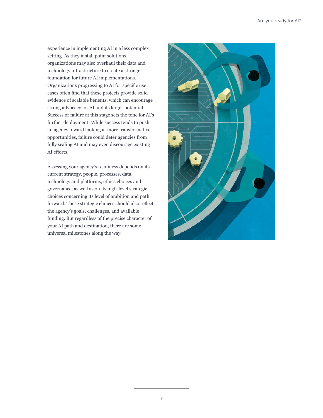experience in implementing AI in a less complex setting. As they install point solutions, organizations may also overhaul their data and technology infrastructure to create a stronger foundation for future AI implementations. Organizations progressing to AI for specific use cases often find that these projects provide solid evidence of scalable benefits, which can encourage strong advocacy for AI and its larger potential. Success or failure at this stage sets the tone for AI's further deployment: While success tends to push an agency toward looking at more transformative opportunities, failure could deter agencies from fully scaling AI and may even discourage existing AI efforts.

Assessing your agency's readiness depends on its current strategy, people, processes, data, technology and platforms, ethics choices and governance, as well as on its high-level strategic choices concerning its level of ambition and path forward. These strategic choices should also reflect the agency's goals, challenges, and available funding. But regardless of the precise character of your AI path and destination, there are some universal milestones along the way.

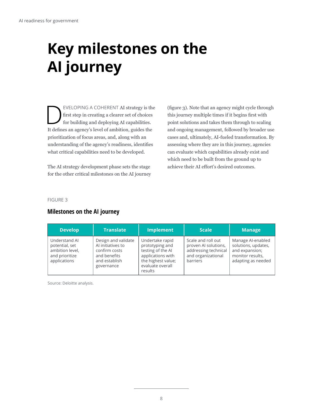# <span id="page-9-0"></span>**Key milestones on the AI journey**

EVELOPING A COHERENT AI strategy is the<br>first step in creating a clearer set of choices<br>for building and deploying AI capabilities. first step in creating a clearer set of choices for building and deploying AI capabilities. It defines an agency's level of ambition, guides the prioritization of focus areas, and, along with an understanding of the agency's readiness, identifies what critical capabilities need to be developed.

The AI strategy development phase sets the stage for the other critical milestones on the AI journey (figure 3). Note that an agency might cycle through this journey multiple times if it begins first with point solutions and takes them through to scaling and ongoing management, followed by broader use cases and, ultimately, AI-fueled transformation. By assessing where they are in this journey, agencies can evaluate which capabilities already exist and which need to be built from the ground up to achieve their AI effort's desired outcomes.

#### FIGURE 3

#### **Milestones on the AI journey**

| <b>Develop</b>                                                                       | <b>Translate</b>                                                                                         | <b>Implement</b>                                                                                                                  | <b>Scale</b>                                                                                         | <b>Manage</b>                                                                                        |
|--------------------------------------------------------------------------------------|----------------------------------------------------------------------------------------------------------|-----------------------------------------------------------------------------------------------------------------------------------|------------------------------------------------------------------------------------------------------|------------------------------------------------------------------------------------------------------|
| Understand AI<br>potential, set<br>ambition level,<br>and prioritize<br>applications | Design and validate<br>Al initiatives to<br>confirm costs<br>and benefits<br>and establish<br>governance | Undertake rapid<br>prototyping and<br>testing of the AI<br>applications with<br>the highest value;<br>evaluate overall<br>results | Scale and roll out<br>proven AI solutions,<br>addressing technical<br>and organizational<br>barriers | Manage Al-enabled<br>solutions, updates,<br>and expansion;<br>monitor results,<br>adapting as needed |

Source: Deloitte analysis.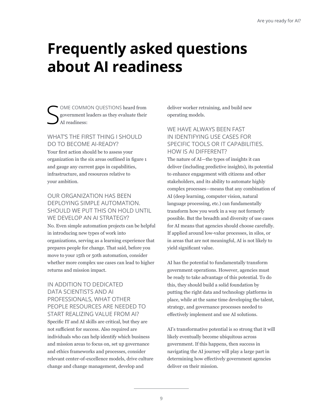# <span id="page-10-0"></span>**Frequently asked questions about AI readiness**

S OME COMMON QUESTIONS heard from government leaders as they evaluate their AI readiness:

#### WHAT'S THE FIRST THING I SHOULD DO TO BECOME AI-READY?

Your first action should be to assess your organization in the six areas outlined in figure 1 and gauge any current gaps in capabilities, infrastructure, and resources relative to your ambition.

#### OUR ORGANIZATION HAS BEEN DEPLOYING SIMPLE AUTOMATION. SHOULD WE PUT THIS ON HOLD UNTIL WE DEVELOP AN AI STRATEGY?

No. Even simple automation projects can be helpful in introducing new types of work into organizations, serving as a learning experience that prepares people for change. That said, before you move to your 15th or 50th automation, consider whether more complex use cases can lead to higher returns and mission impact.

#### IN ADDITION TO DEDICATED DATA SCIENTISTS AND AI PROFESSIONALS, WHAT OTHER PEOPLE RESOURCES ARE NEEDED TO START REALIZING VALUE FROM AI? Specific IT and AI skills are critical, but they are not sufficient for success. Also required are individuals who can help identify which business and mission areas to focus on, set up governance and ethics frameworks and processes, consider relevant center-of-excellence models, drive culture change and change management, develop and

deliver worker retraining, and build new operating models.

#### WE HAVE ALWAYS BEEN FAST IN IDENTIFYING USE CASES FOR SPECIFIC TOOLS OR IT CAPABILITIES. HOW IS AI DIFFERENT?

The nature of AI—the types of insights it can deliver (including predictive insights), its potential to enhance engagement with citizens and other stakeholders, and its ability to automate highly complex processes—means that any combination of AI (deep learning, computer vision, natural language processing, etc.) can fundamentally transform how you work in a way not formerly possible. But the breadth and diversity of use cases for AI means that agencies should choose carefully. If applied around low-value processes, in silos, or in areas that are not meaningful, AI is not likely to yield significant value.

AI has the potential to fundamentally transform government operations. However, agencies must be ready to take advantage of this potential. To do this, they should build a solid foundation by putting the right data and technology platforms in place, while at the same time developing the talent, strategy, and governance processes needed to effectively implement and use AI solutions.

AI's transformative potential is so strong that it will likely eventually become ubiquitous across government. If this happens, then success in navigating the AI journey will play a large part in determining how effectively government agencies deliver on their mission.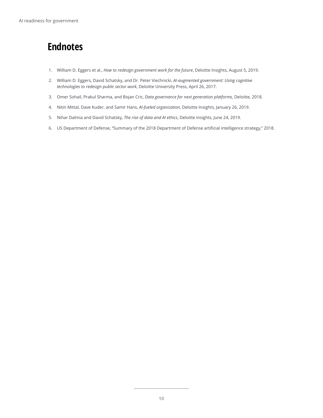# <span id="page-11-0"></span>**Endnotes**

- 1. William D. Eggers et al., *How to redesign government work for the future*, Deloitte Insights, August 5, 2019.
- 2. William D. Eggers, David Schatsky, and Dr. Peter Viechnicki, *AI-augmented government: Using cognitive technologies to redesign public sector work*, Deloitte University Press, April 26, 2017.
- 3. Omer Sohail, Prakul Sharma, and Bojan Cric, *Data governance for next generation platforms*, Deloitte, 2018.
- 4. Nitin Mittal, Dave Kuder, and Samir Hans, *AI-fueled organization*, Deloitte Insights, January 26, 2019.
- 5. Nihar Dalmia and David Schatsky, *The rise of data and AI ethics*, Deloitte Insights, June 24, 2019.
- 6. US Department of Defense, "Summary of the 2018 Department of Defense artificial intelligence strategy," 2018.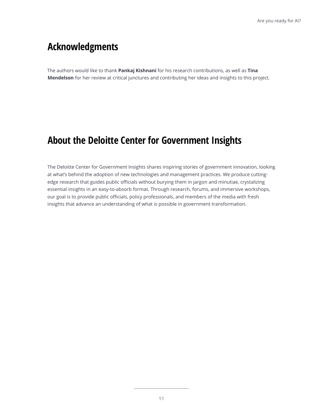### **Acknowledgments**

The authors would like to thank **Pankaj Kishnani** for his research contributions, as well as **Tina Mendelson** for her review at critical junctures and contributing her ideas and insights to this project.

### **About the Deloitte Center for Government Insights**

The Deloitte Center for Government Insights shares inspiring stories of government innovation, looking at what's behind the adoption of new technologies and management practices. We produce cuttingedge research that guides public officials without burying them in jargon and minutiae, crystalizing essential insights in an easy-to-absorb format. Through research, forums, and immersive workshops, our goal is to provide public officials, policy professionals, and members of the media with fresh insights that advance an understanding of what is possible in government transformation.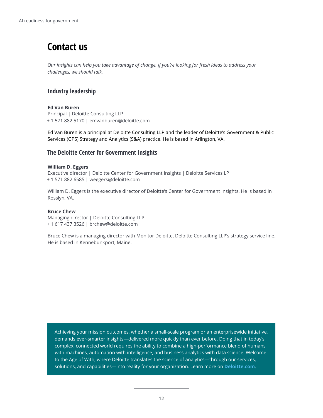# **Contact us**

*Our insights can help you take advantage of change. If you're looking for fresh ideas to address your challenges, we should talk.*

#### **Industry leadership**

#### **Ed Van Buren**

Principal | Deloitte Consulting LLP + 1 571 882 5170 | emvanburen@deloitte.com

Ed Van Buren is a principal at Deloitte Consulting LLP and the leader of Deloitte's Government & Public Services (GPS) Strategy and Analytics (S&A) practice. He is based in Arlington, VA.

#### **The Deloitte Center for Government Insights**

#### **William D. Eggers**

Executive director | Deloitte Center for Government Insights | Deloitte Services LP + 1 571 882 6585 | weggers@deloitte.com

William D. Eggers is the executive director of Deloitte's Center for Government Insights. He is based in Rosslyn, VA.

#### **Bruce Chew**

Managing director | Deloitte Consulting LLP + 1 617 437 3526 | brchew@deloitte.com

Bruce Chew is a managing director with Monitor Deloitte, Deloitte Consulting LLP's strategy service line. He is based in Kennebunkport, Maine.

Achieving your mission outcomes, whether a small-scale program or an enterprisewide initiative, demands ever-smarter insights—delivered more quickly than ever before. Doing that in today's complex, connected world requires the ability to combine a high-performance blend of humans with machines, automation with intelligence, and business analytics with data science. Welcome to the Age of With, where Deloitte translates the science of analytics—through our services, solutions, and capabilities—into reality for your organization. Learn more on **[Deloitte.com](https://www2.deloitte.com/us/en/pages/deloitte-analytics/solutions/analytics-ai.html)**.